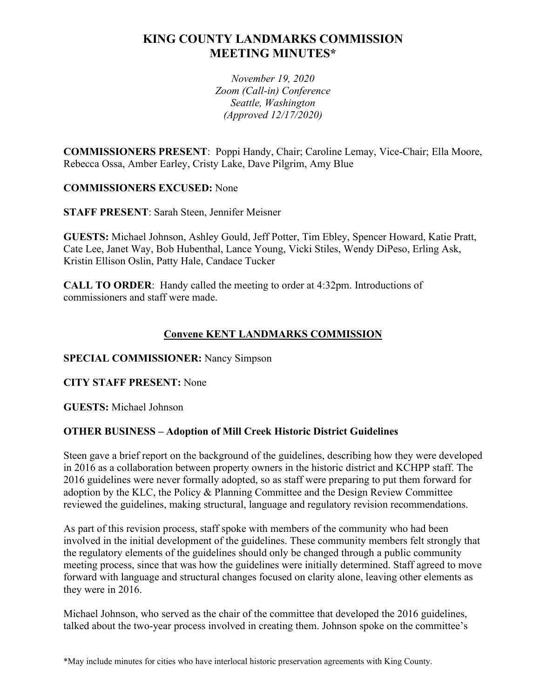# **KING COUNTY LANDMARKS COMMISSION MEETING MINUTES\***

*November 19, 2020 Zoom (Call-in) Conference Seattle, Washington (Approved 12/17/2020)*

**COMMISSIONERS PRESENT**: Poppi Handy, Chair; Caroline Lemay, Vice-Chair; Ella Moore, Rebecca Ossa, Amber Earley, Cristy Lake, Dave Pilgrim, Amy Blue

## **COMMISSIONERS EXCUSED:** None

**STAFF PRESENT**: Sarah Steen, Jennifer Meisner

**GUESTS:** Michael Johnson, Ashley Gould, Jeff Potter, Tim Ebley, Spencer Howard, Katie Pratt, Cate Lee, Janet Way, Bob Hubenthal, Lance Young, Vicki Stiles, Wendy DiPeso, Erling Ask, Kristin Ellison Oslin, Patty Hale, Candace Tucker

**CALL TO ORDER**: Handy called the meeting to order at 4:32pm. Introductions of commissioners and staff were made.

# **Convene KENT LANDMARKS COMMISSION**

### **SPECIAL COMMISSIONER:** Nancy Simpson

### **CITY STAFF PRESENT:** None

**GUESTS:** Michael Johnson

## **OTHER BUSINESS – Adoption of Mill Creek Historic District Guidelines**

Steen gave a brief report on the background of the guidelines, describing how they were developed in 2016 as a collaboration between property owners in the historic district and KCHPP staff. The 2016 guidelines were never formally adopted, so as staff were preparing to put them forward for adoption by the KLC, the Policy & Planning Committee and the Design Review Committee reviewed the guidelines, making structural, language and regulatory revision recommendations.

As part of this revision process, staff spoke with members of the community who had been involved in the initial development of the guidelines. These community members felt strongly that the regulatory elements of the guidelines should only be changed through a public community meeting process, since that was how the guidelines were initially determined. Staff agreed to move forward with language and structural changes focused on clarity alone, leaving other elements as they were in 2016.

Michael Johnson, who served as the chair of the committee that developed the 2016 guidelines, talked about the two-year process involved in creating them. Johnson spoke on the committee's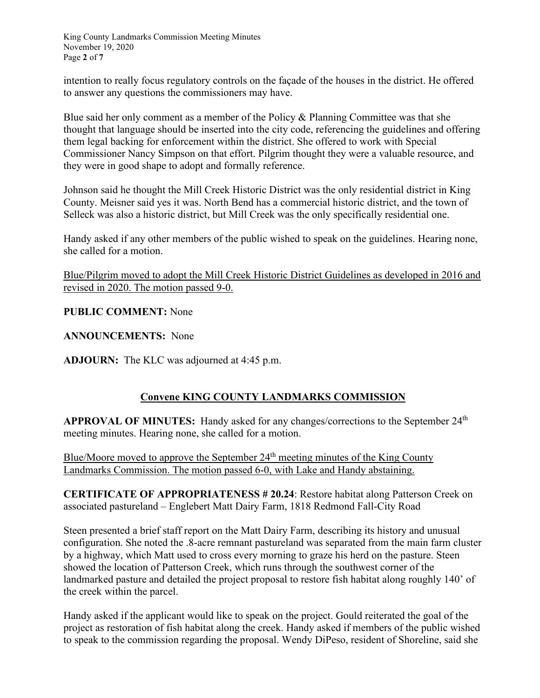King County Landmarks Commission Meeting Minutes November 19, 2020 Page **2** of **7**

intention to really focus regulatory controls on the façade of the houses in the district. He offered to answer any questions the commissioners may have.

Blue said her only comment as a member of the Policy & Planning Committee was that she thought that language should be inserted into the city code, referencing the guidelines and offering them legal backing for enforcement within the district. She offered to work with Special Commissioner Nancy Simpson on that effort. Pilgrim thought they were a valuable resource, and they were in good shape to adopt and formally reference.

Johnson said he thought the Mill Creek Historic District was the only residential district in King County. Meisner said yes it was. North Bend has a commercial historic district, and the town of Selleck was also a historic district, but Mill Creek was the only specifically residential one.

Handy asked if any other members of the public wished to speak on the guidelines. Hearing none, she called for a motion.

Blue/Pilgrim moved to adopt the Mill Creek Historic District Guidelines as developed in 2016 and revised in 2020. The motion passed 9-0.

## **PUBLIC COMMENT:** None

**ANNOUNCEMENTS:** None

**ADJOURN:** The KLC was adjourned at 4:45 p.m.

## **Convene KING COUNTY LANDMARKS COMMISSION**

**APPROVAL OF MINUTES:** Handy asked for any changes/corrections to the September 24th meeting minutes. Hearing none, she called for a motion.

Blue/Moore moved to approve the September 24<sup>th</sup> meeting minutes of the King County Landmarks Commission. The motion passed 6-0, with Lake and Handy abstaining.

**CERTIFICATE OF APPROPRIATENESS # 20.24**: Restore habitat along Patterson Creek on associated pastureland – Englebert Matt Dairy Farm, 1818 Redmond Fall-City Road

Steen presented a brief staff report on the Matt Dairy Farm, describing its history and unusual configuration. She noted the .8-acre remnant pastureland was separated from the main farm cluster by a highway, which Matt used to cross every morning to graze his herd on the pasture. Steen showed the location of Patterson Creek, which runs through the southwest corner of the landmarked pasture and detailed the project proposal to restore fish habitat along roughly 140' of the creek within the parcel.

Handy asked if the applicant would like to speak on the project. Gould reiterated the goal of the project as restoration of fish habitat along the creek. Handy asked if members of the public wished to speak to the commission regarding the proposal. Wendy DiPeso, resident of Shoreline, said she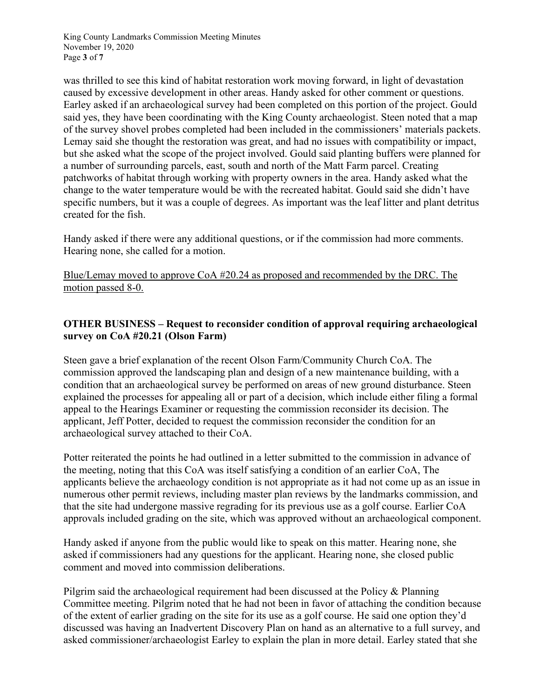King County Landmarks Commission Meeting Minutes November 19, 2020 Page **3** of **7**

was thrilled to see this kind of habitat restoration work moving forward, in light of devastation caused by excessive development in other areas. Handy asked for other comment or questions. Earley asked if an archaeological survey had been completed on this portion of the project. Gould said yes, they have been coordinating with the King County archaeologist. Steen noted that a map of the survey shovel probes completed had been included in the commissioners' materials packets. Lemay said she thought the restoration was great, and had no issues with compatibility or impact, but she asked what the scope of the project involved. Gould said planting buffers were planned for a number of surrounding parcels, east, south and north of the Matt Farm parcel. Creating patchworks of habitat through working with property owners in the area. Handy asked what the change to the water temperature would be with the recreated habitat. Gould said she didn't have specific numbers, but it was a couple of degrees. As important was the leaf litter and plant detritus created for the fish.

Handy asked if there were any additional questions, or if the commission had more comments. Hearing none, she called for a motion.

Blue/Lemay moved to approve CoA #20.24 as proposed and recommended by the DRC. The motion passed 8-0.

# **OTHER BUSINESS – Request to reconsider condition of approval requiring archaeological survey on CoA #20.21 (Olson Farm)**

Steen gave a brief explanation of the recent Olson Farm/Community Church CoA. The commission approved the landscaping plan and design of a new maintenance building, with a condition that an archaeological survey be performed on areas of new ground disturbance. Steen explained the processes for appealing all or part of a decision, which include either filing a formal appeal to the Hearings Examiner or requesting the commission reconsider its decision. The applicant, Jeff Potter, decided to request the commission reconsider the condition for an archaeological survey attached to their CoA.

Potter reiterated the points he had outlined in a letter submitted to the commission in advance of the meeting, noting that this CoA was itself satisfying a condition of an earlier CoA, The applicants believe the archaeology condition is not appropriate as it had not come up as an issue in numerous other permit reviews, including master plan reviews by the landmarks commission, and that the site had undergone massive regrading for its previous use as a golf course. Earlier CoA approvals included grading on the site, which was approved without an archaeological component.

Handy asked if anyone from the public would like to speak on this matter. Hearing none, she asked if commissioners had any questions for the applicant. Hearing none, she closed public comment and moved into commission deliberations.

Pilgrim said the archaeological requirement had been discussed at the Policy & Planning Committee meeting. Pilgrim noted that he had not been in favor of attaching the condition because of the extent of earlier grading on the site for its use as a golf course. He said one option they'd discussed was having an Inadvertent Discovery Plan on hand as an alternative to a full survey, and asked commissioner/archaeologist Earley to explain the plan in more detail. Earley stated that she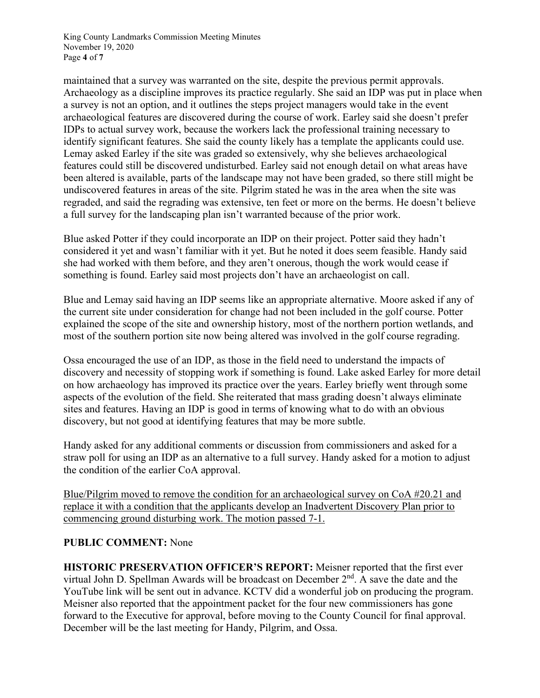King County Landmarks Commission Meeting Minutes November 19, 2020 Page **4** of **7**

maintained that a survey was warranted on the site, despite the previous permit approvals. Archaeology as a discipline improves its practice regularly. She said an IDP was put in place when a survey is not an option, and it outlines the steps project managers would take in the event archaeological features are discovered during the course of work. Earley said she doesn't prefer IDPs to actual survey work, because the workers lack the professional training necessary to identify significant features. She said the county likely has a template the applicants could use. Lemay asked Earley if the site was graded so extensively, why she believes archaeological features could still be discovered undisturbed. Earley said not enough detail on what areas have been altered is available, parts of the landscape may not have been graded, so there still might be undiscovered features in areas of the site. Pilgrim stated he was in the area when the site was regraded, and said the regrading was extensive, ten feet or more on the berms. He doesn't believe a full survey for the landscaping plan isn't warranted because of the prior work.

Blue asked Potter if they could incorporate an IDP on their project. Potter said they hadn't considered it yet and wasn't familiar with it yet. But he noted it does seem feasible. Handy said she had worked with them before, and they aren't onerous, though the work would cease if something is found. Earley said most projects don't have an archaeologist on call.

Blue and Lemay said having an IDP seems like an appropriate alternative. Moore asked if any of the current site under consideration for change had not been included in the golf course. Potter explained the scope of the site and ownership history, most of the northern portion wetlands, and most of the southern portion site now being altered was involved in the golf course regrading.

Ossa encouraged the use of an IDP, as those in the field need to understand the impacts of discovery and necessity of stopping work if something is found. Lake asked Earley for more detail on how archaeology has improved its practice over the years. Earley briefly went through some aspects of the evolution of the field. She reiterated that mass grading doesn't always eliminate sites and features. Having an IDP is good in terms of knowing what to do with an obvious discovery, but not good at identifying features that may be more subtle.

Handy asked for any additional comments or discussion from commissioners and asked for a straw poll for using an IDP as an alternative to a full survey. Handy asked for a motion to adjust the condition of the earlier CoA approval.

Blue/Pilgrim moved to remove the condition for an archaeological survey on CoA #20.21 and replace it with a condition that the applicants develop an Inadvertent Discovery Plan prior to commencing ground disturbing work. The motion passed 7-1.

## **PUBLIC COMMENT:** None

**HISTORIC PRESERVATION OFFICER'S REPORT:** Meisner reported that the first ever virtual John D. Spellman Awards will be broadcast on December  $2<sup>nd</sup>$ . A save the date and the YouTube link will be sent out in advance. KCTV did a wonderful job on producing the program. Meisner also reported that the appointment packet for the four new commissioners has gone forward to the Executive for approval, before moving to the County Council for final approval. December will be the last meeting for Handy, Pilgrim, and Ossa.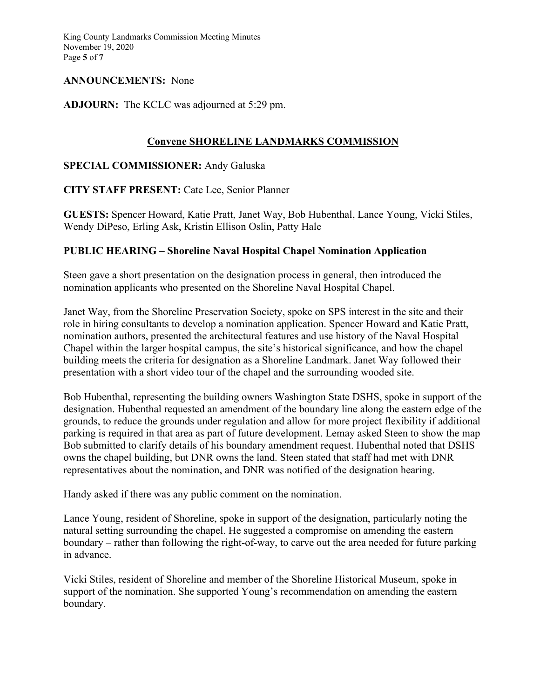King County Landmarks Commission Meeting Minutes November 19, 2020 Page **5** of **7**

### **ANNOUNCEMENTS:** None

### **ADJOURN:** The KCLC was adjourned at 5:29 pm.

# **Convene SHORELINE LANDMARKS COMMISSION**

**SPECIAL COMMISSIONER:** Andy Galuska

**CITY STAFF PRESENT:** Cate Lee, Senior Planner

**GUESTS:** Spencer Howard, Katie Pratt, Janet Way, Bob Hubenthal, Lance Young, Vicki Stiles, Wendy DiPeso, Erling Ask, Kristin Ellison Oslin, Patty Hale

### **PUBLIC HEARING – Shoreline Naval Hospital Chapel Nomination Application**

Steen gave a short presentation on the designation process in general, then introduced the nomination applicants who presented on the Shoreline Naval Hospital Chapel.

Janet Way, from the Shoreline Preservation Society, spoke on SPS interest in the site and their role in hiring consultants to develop a nomination application. Spencer Howard and Katie Pratt, nomination authors, presented the architectural features and use history of the Naval Hospital Chapel within the larger hospital campus, the site's historical significance, and how the chapel building meets the criteria for designation as a Shoreline Landmark. Janet Way followed their presentation with a short video tour of the chapel and the surrounding wooded site.

Bob Hubenthal, representing the building owners Washington State DSHS, spoke in support of the designation. Hubenthal requested an amendment of the boundary line along the eastern edge of the grounds, to reduce the grounds under regulation and allow for more project flexibility if additional parking is required in that area as part of future development. Lemay asked Steen to show the map Bob submitted to clarify details of his boundary amendment request. Hubenthal noted that DSHS owns the chapel building, but DNR owns the land. Steen stated that staff had met with DNR representatives about the nomination, and DNR was notified of the designation hearing.

Handy asked if there was any public comment on the nomination.

Lance Young, resident of Shoreline, spoke in support of the designation, particularly noting the natural setting surrounding the chapel. He suggested a compromise on amending the eastern boundary – rather than following the right-of-way, to carve out the area needed for future parking in advance.

Vicki Stiles, resident of Shoreline and member of the Shoreline Historical Museum, spoke in support of the nomination. She supported Young's recommendation on amending the eastern boundary.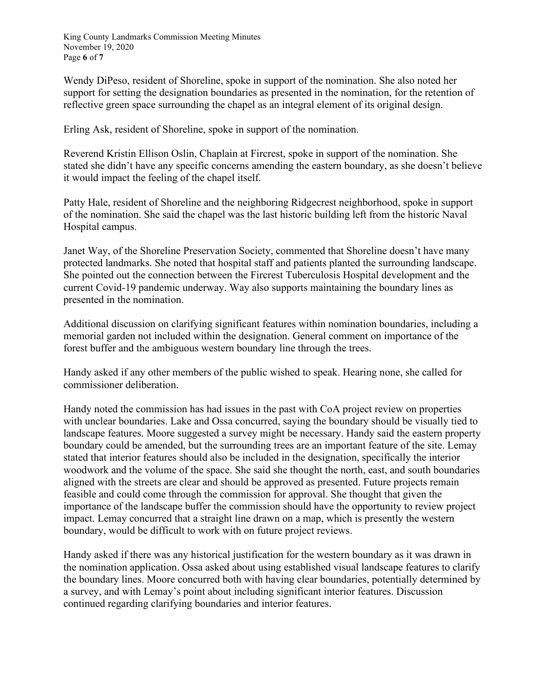King County Landmarks Commission Meeting Minutes November 19, 2020 Page **6** of **7**

Wendy DiPeso, resident of Shoreline, spoke in support of the nomination. She also noted her support for setting the designation boundaries as presented in the nomination, for the retention of reflective green space surrounding the chapel as an integral element of its original design.

Erling Ask, resident of Shoreline, spoke in support of the nomination.

Reverend Kristin Ellison Oslin, Chaplain at Fircrest, spoke in support of the nomination. She stated she didn't have any specific concerns amending the eastern boundary, as she doesn't believe it would impact the feeling of the chapel itself.

Patty Hale, resident of Shoreline and the neighboring Ridgecrest neighborhood, spoke in support of the nomination. She said the chapel was the last historic building left from the historic Naval Hospital campus.

Janet Way, of the Shoreline Preservation Society, commented that Shoreline doesn't have many protected landmarks. She noted that hospital staff and patients planted the surrounding landscape. She pointed out the connection between the Fircrest Tuberculosis Hospital development and the current Covid-19 pandemic underway. Way also supports maintaining the boundary lines as presented in the nomination.

Additional discussion on clarifying significant features within nomination boundaries, including a memorial garden not included within the designation. General comment on importance of the forest buffer and the ambiguous western boundary line through the trees.

Handy asked if any other members of the public wished to speak. Hearing none, she called for commissioner deliberation.

Handy noted the commission has had issues in the past with CoA project review on properties with unclear boundaries. Lake and Ossa concurred, saying the boundary should be visually tied to landscape features. Moore suggested a survey might be necessary. Handy said the eastern property boundary could be amended, but the surrounding trees are an important feature of the site. Lemay stated that interior features should also be included in the designation, specifically the interior woodwork and the volume of the space. She said she thought the north, east, and south boundaries aligned with the streets are clear and should be approved as presented. Future projects remain feasible and could come through the commission for approval. She thought that given the importance of the landscape buffer the commission should have the opportunity to review project impact. Lemay concurred that a straight line drawn on a map, which is presently the western boundary, would be difficult to work with on future project reviews.

Handy asked if there was any historical justification for the western boundary as it was drawn in the nomination application. Ossa asked about using established visual landscape features to clarify the boundary lines. Moore concurred both with having clear boundaries, potentially determined by a survey, and with Lemay's point about including significant interior features. Discussion continued regarding clarifying boundaries and interior features.